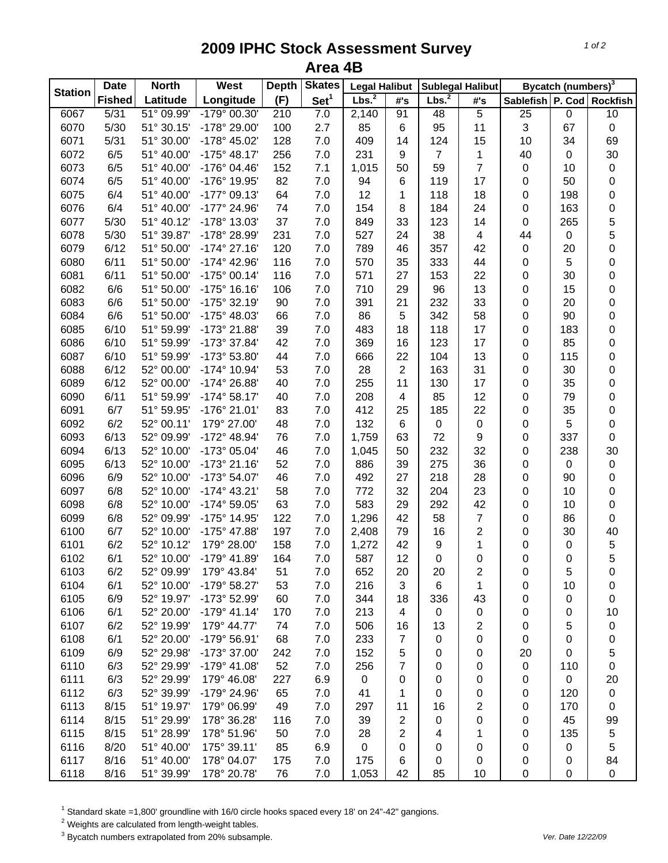## **2009 IPHC Stock Assessment Survey Area 4B**

|                | <b>North</b><br><b>Date</b> |            | West                  | <b>Depth</b> | <b>Skates</b>    | <b>Legal Halibut</b> |                     | <b>Sublegal Halibut</b> |                | Bycatch (numbers) <sup>3</sup> |     |                  |
|----------------|-----------------------------|------------|-----------------------|--------------|------------------|----------------------|---------------------|-------------------------|----------------|--------------------------------|-----|------------------|
| <b>Station</b> | <b>Fished</b>               | Latitude   | Longitude             | (F)          | Set <sup>1</sup> | Lbs. <sup>2</sup>    | $\#^{\centerdot}$ s | Lbs. <sup>2</sup>       | #'s            | Sablefish P. Cod Rockfish      |     |                  |
| 6067           | 5/31                        | 51° 09.99' | -179° 00.30'          | 210          | 7.0              | 2,140                | 91                  | 48                      | $\overline{5}$ | 25                             | 0   | 10               |
| 6070           | 5/30                        | 51° 30.15' | -178° 29.00'          | 100          | 2.7              | 85                   | 6                   | 95                      | 11             | 3                              | 67  | $\mathbf 0$      |
| 6071           | 5/31                        | 51° 30.00' | -178° 45.02'          | 128          | 7.0              | 409                  | 14                  | 124                     | 15             | 10                             | 34  | 69               |
| 6072           | 6/5                         | 51° 40.00' | $-175^{\circ}$ 48.17' | 256          | 7.0              | 231                  | 9                   | $\overline{7}$          | 1              | 40                             | 0   | 30               |
| 6073           | 6/5                         | 51° 40.00' | -176° 04.46'          | 152          | 7.1              | 1,015                | 50                  | 59                      | $\overline{7}$ | $\pmb{0}$                      | 10  | $\pmb{0}$        |
| 6074           | 6/5                         | 51° 40.00' | -176° 19.95'          | 82           | 7.0              | 94                   | 6                   | 119                     | 17             | 0                              | 50  | $\boldsymbol{0}$ |
| 6075           | 6/4                         | 51° 40.00' | $-177°09.13'$         | 64           | 7.0              | 12                   | 1                   | 118                     | 18             | 0                              | 198 | 0                |
| 6076           | 6/4                         | 51° 40.00' | -177° 24.96'          | 74           | 7.0              | 154                  | 8                   | 184                     | 24             | 0                              | 163 | 0                |
| 6077           | 5/30                        | 51° 40.12' | -178° 13.03'          | 37           | 7.0              | 849                  | 33                  | 123                     | 14             | 0                              | 265 | 5                |
| 6078           | 5/30                        | 51° 39.87' | -178° 28.99'          | 231          | 7.0              | 527                  | 24                  | 38                      | 4              | 44                             | 0   | 5                |
| 6079           | 6/12                        | 51° 50.00' | $-174^{\circ}$ 27.16' | 120          | 7.0              | 789                  | 46                  | 357                     | 42             | $\pmb{0}$                      | 20  | $\mathsf 0$      |
| 6080           | 6/11                        | 51° 50.00' | -174° 42.96'          | 116          | 7.0              | 570                  | 35                  | 333                     | 44             | 0                              | 5   | $\mathsf 0$      |
| 6081           | 6/11                        | 51° 50.00' | $-175°00.14'$         | 116          | 7.0              | 571                  | 27                  | 153                     | 22             | 0                              | 30  | 0                |
| 6082           | 6/6                         | 51° 50.00' | $-175°$ 16.16'        | 106          | 7.0              | 710                  | 29                  | 96                      | 13             | 0                              | 15  | 0                |
| 6083           | 6/6                         | 51° 50.00' | $-175°32.19'$         | 90           | 7.0              | 391                  | 21                  | 232                     | 33             | 0                              | 20  | 0                |
| 6084           | 6/6                         | 51° 50.00' | $-175^{\circ}$ 48.03' | 66           | 7.0              | 86                   | 5                   | 342                     | 58             | 0                              | 90  | $\mathsf 0$      |
| 6085           | 6/10                        | 51° 59.99' | -173° 21.88'          | 39           | 7.0              | 483                  | 18                  | 118                     | 17             | 0                              | 183 | 0                |
| 6086           | 6/10                        | 51° 59.99' | -173° 37.84'          | 42           | 7.0              | 369                  | 16                  | 123                     | 17             | 0                              | 85  | $\mathsf 0$      |
| 6087           | 6/10                        | 51° 59.99' | -173° 53.80'          | 44           | 7.0              | 666                  | 22                  | 104                     | 13             | $\mathbf 0$                    | 115 | $\mathsf 0$      |
| 6088           | 6/12                        | 52° 00.00' | -174° 10.94'          | 53           | 7.0              | 28                   | $\overline{2}$      | 163                     | 31             | $\mathbf 0$                    | 30  | $\mathsf 0$      |
| 6089           | 6/12                        | 52° 00.00' | -174° 26.88'          | 40           | 7.0              | 255                  | 11                  | 130                     | 17             | $\mathbf 0$                    | 35  | $\mathsf 0$      |
| 6090           | 6/11                        | 51° 59.99' | $-174^{\circ}58.17'$  | 40           | 7.0              | 208                  | $\overline{4}$      | 85                      | 12             | 0                              | 79  | $\mathsf 0$      |
| 6091           | 6/7                         | 51° 59.95' | -176° 21.01'          | 83           | 7.0              | 412                  | 25                  | 185                     | 22             | 0                              | 35  | $\pmb{0}$        |
| 6092           | 6/2                         | 52° 00.11' | 179° 27.00'           | 48           | 7.0              | 132                  | 6                   | $\pmb{0}$               | $\pmb{0}$      | 0                              | 5   | $\pmb{0}$        |
| 6093           | 6/13                        | 52° 09.99' | -172° 48.94'          | 76           | 7.0              | 1,759                | 63                  | 72                      | 9              | 0                              | 337 | $\pmb{0}$        |
| 6094           | 6/13                        | 52° 10.00' | -173° 05.04'          | 46           | 7.0              | 1,045                | 50                  | 232                     | 32             | 0                              | 238 | 30               |
| 6095           | 6/13                        | 52° 10.00' | $-173°$ 21.16'        | 52           | 7.0              | 886                  | 39                  | 275                     | 36             | 0                              | 0   | $\pmb{0}$        |
| 6096           | 6/9                         | 52° 10.00' | -173° 54.07'          | 46           | 7.0              | 492                  | 27                  | 218                     | 28             | 0                              | 90  | $\mathsf 0$      |
| 6097           | 6/8                         | 52° 10.00' | $-174^{\circ}$ 43.21' | 58           | 7.0              | 772                  | 32                  | 204                     | 23             | 0                              | 10  | $\mathsf 0$      |
| 6098           | 6/8                         | 52° 10.00' | $-174^{\circ} 59.05'$ | 63           | 7.0              | 583                  | 29                  | 292                     | 42             | 0                              | 10  | 0                |
| 6099           | 6/8                         | 52° 09.99' | -175° 14.95'          | 122          | 7.0              | 1,296                | 42                  | 58                      | $\overline{7}$ | 0                              | 86  | 0                |
| 6100           | 6/7                         | 52° 10.00' | -175° 47.88'          | 197          | 7.0              | 2,408                | 79                  | 16                      | $\overline{2}$ | 0                              | 30  | 40               |
| 6101           | 6/2                         | 52° 10.12' | 179° 28.00'           | 158          | 7.0              | 1,272                | 42                  | 9                       | 1              | 0                              | 0   | 5                |
| 6102           | 6/1                         | 52° 10.00' | -179° 41.89'          | 164          | 7.0              | 587                  | 12                  | 0                       | 0              | $\mathbf 0$                    | 0   | 5                |
| 6103           | 6/2                         | 52° 09.99' | 179° 43.84'           | 51           | 7.0              | 652                  | 20                  | 20                      | 2              | 0                              | 5   | 0                |
| 6104           | 6/1                         | 52° 10.00' | -179° 58.27'          | 53           | 7.0              | 216                  | 3                   | 6                       | 1              | 0                              | 10  | 0                |
| 6105           | 6/9                         | 52° 19.97' | -173° 52.99'          | 60           | 7.0              | 344                  | 18                  | 336                     | 43             | 0                              | 0   | $\boldsymbol{0}$ |
| 6106           | 6/1                         | 52° 20.00' | $-179°$ 41.14'        | 170          | 7.0              | 213                  | 4                   | $\mathbf 0$             | 0              | 0                              | 0   | 10               |
| 6107           | 6/2                         | 52° 19.99' | 179° 44.77'           | 74           | 7.0              | 506                  | 16                  | 13                      | 2              | 0                              | 5   | $\pmb{0}$        |
| 6108           | 6/1                         | 52° 20.00' | -179° 56.91'          | 68           | 7.0              | 233                  | 7                   | 0                       | 0              | 0                              | 0   | 0                |
| 6109           | 6/9                         | 52° 29.98' | -173° 37.00'          | 242          | 7.0              | 152                  | 5                   | 0                       | 0              | 20                             | 0   | 5                |
| 6110           | 6/3                         | 52° 29.99' | $-179°$ 41.08'        | 52           | 7.0              | 256                  | 7                   | 0                       | 0              | 0                              | 110 | 0                |
| 6111           | 6/3                         | 52° 29.99' | 179° 46.08'           | 227          | 6.9              | $\pmb{0}$            | 0                   | 0                       | 0              | 0                              | 0   | 20               |
| 6112           | 6/3                         | 52° 39.99' | -179° 24.96'          | 65           | 7.0              | 41                   | 1                   | 0                       | 0              | 0                              | 120 | $\pmb{0}$        |
| 6113           | 8/15                        | 51° 19.97' | 179° 06.99'           | 49           | 7.0              | 297                  | 11                  | 16                      | 2              | 0                              | 170 | $\boldsymbol{0}$ |
| 6114           | 8/15                        | 51° 29.99' | 178° 36.28'           | 116          | 7.0              | 39                   | $\overline{2}$      | 0                       | 0              | 0                              | 45  | 99               |
| 6115           | 8/15                        | 51° 28.99' | 178° 51.96'           | 50           | 7.0              | 28                   | 2                   | 4                       | 1              | 0                              | 135 | 5                |
| 6116           | 8/20                        | 51° 40.00' | 175° 39.11'           | 85           | 6.9              | $\pmb{0}$            | 0                   | 0                       | 0              | 0                              | 0   | 5                |
| 6117           | 8/16                        | 51° 40.00' | 178° 04.07'           | 175          | 7.0              | 175                  | 6                   | 0                       | 0              | 0                              | 0   | 84               |
| 6118           | 8/16                        | 51° 39.99' | 178° 20.78'           | 76           | 7.0              | 1,053                | 42                  | 85                      | 10             | 0                              | 0   | $\mathbf 0$      |

 $^1$  Standard skate =1,800' groundline with 16/0 circle hooks spaced every 18' on 24"-42" gangions.<br><sup>2</sup> Weights are calculated from length-weight tables.

3 Bycatch numbers extrapolated from 20% subsample. *Ver. Date 12/22/09*